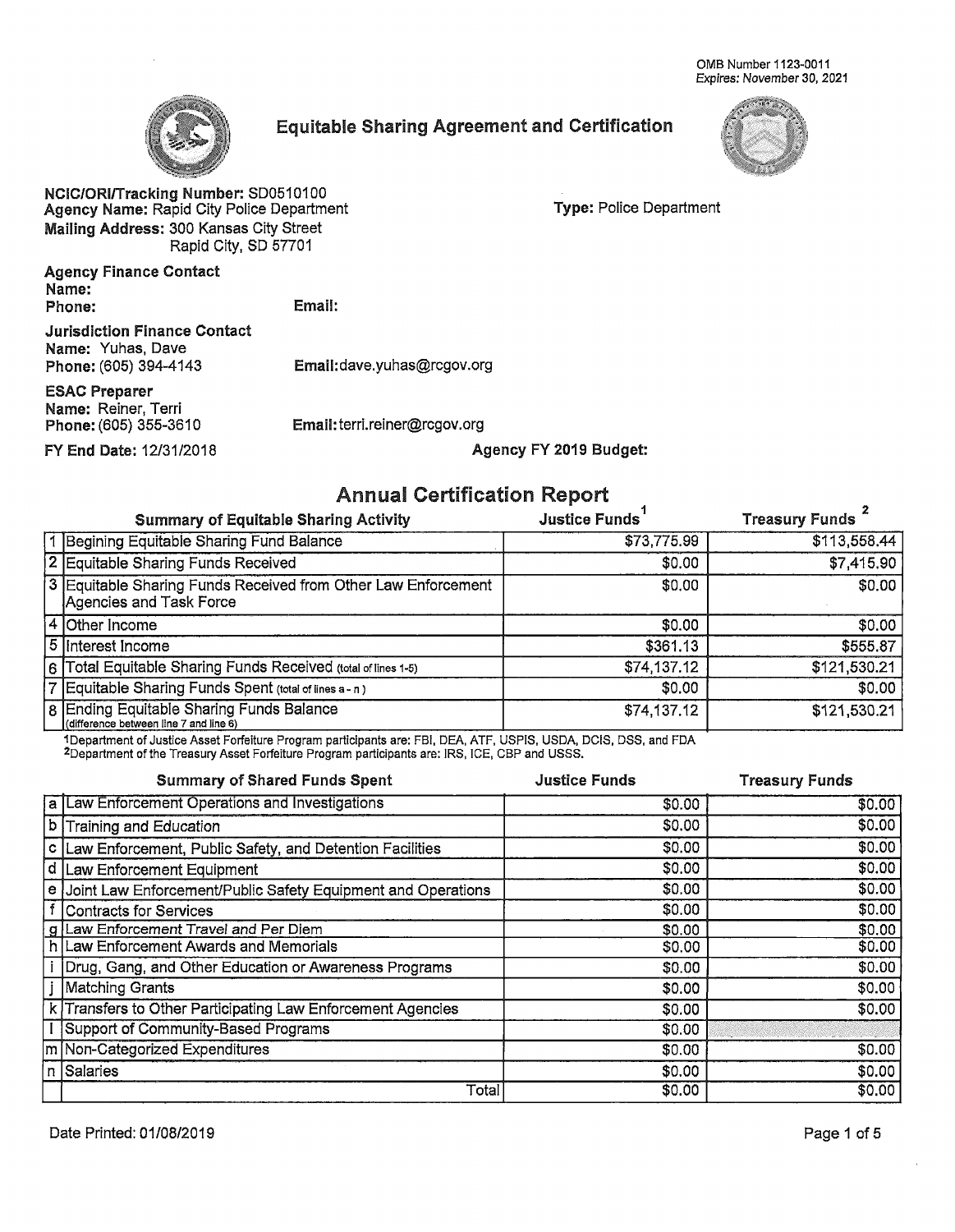OMB Number 1123-0011 Expires: November 30, 2021



## **Equitable Sharing Agreement and Certification**



NCIC/ORI/Tracking Number: SD0510100 Agency Name: Rapid City Police Department Mailing Address: 300 Kansas City Street Rapid City, SD 57701

**Type: Police Department** 

**Agency Finance Contact** Name: Phone:

Email:

**Jurisdiction Finance Contact** Name: Yuhas, Dave Phone: (605) 394-4143

Email:dave.yuhas@rcgov.org

**ESAC Preparer** Name: Reiner, Terri Phone: (605) 355-3610

FY End Date: 12/31/2018

Email: terri.reiner@rcgov.org Agency FY 2019 Budget:

## **Annual Certification Report**

| <b>Summary of Equitable Sharing Activity</b>                                             | <b>Justice Funds</b> | Treasury Funds |
|------------------------------------------------------------------------------------------|----------------------|----------------|
| 1 Begining Equitable Sharing Fund Balance                                                | \$73,775.99          | \$113,558.44   |
| 2 Equitable Sharing Funds Received                                                       | \$0.00               | \$7,415.90     |
| 3 Equitable Sharing Funds Received from Other Law Enforcement<br>Agencies and Task Force | \$0.00               | \$0.00         |
| 4 Other Income                                                                           | \$0.00               | \$0.00         |
| 5 Interest Income                                                                        | \$361.13             | \$555.87       |
| 6 Total Equitable Sharing Funds Received (total of lines 1-5)                            | \$74,137.12          | \$121,530.21   |
| 7 Equitable Sharing Funds Spent (total of lines a - n)                                   | \$0.00               | \$0.00         |
| 8 Ending Equitable Sharing Funds Balance<br>(difference between line 7 and line 6)       | \$74,137.12          | \$121,530.21   |

1Department of Justice Asset Forfeiture Program participants are: FBI, DEA, ATF, USPIS, USDA, DCIS, DSS, and FDA 2Department of the Treasury Asset Forfeiture Program participants are: IRS, ICE, CBP and USSS.

|    | <b>Summary of Shared Funds Spent</b>                         | <b>Justice Funds</b> | <b>Treasury Funds</b> |
|----|--------------------------------------------------------------|----------------------|-----------------------|
|    | a Law Enforcement Operations and Investigations              | \$0.00               | \$0.00                |
|    | b Training and Education                                     | \$0.00               | \$0.00                |
|    | c Law Enforcement, Public Safety, and Detention Facilities   | \$0.00               | \$0.00                |
| d  | Law Enforcement Equipment                                    | \$0.00               | \$0.00                |
| le | Joint Law Enforcement/Public Safety Equipment and Operations | \$0.00               | \$0.00                |
|    | Contracts for Services                                       | \$0.00               | \$0.00                |
|    | g Law Enforcement Travel and Per Diem                        | \$0.00               | \$0.00                |
|    | h Law Enforcement Awards and Memorials                       | \$0.00               | \$0.00                |
|    | Drug, Gang, and Other Education or Awareness Programs        | \$0.00               | \$0.00                |
|    | Matching Grants                                              | \$0.00               | \$0.00                |
|    | k Transfers to Other Participating Law Enforcement Agencies  | \$0.00               | \$0.00                |
|    | Support of Community-Based Programs                          | \$0.00               |                       |
|    | m Non-Categorized Expenditures                               | \$0.00               | \$0.00                |
|    | In Salaries                                                  | \$0.00               | \$0.00                |
|    | Total                                                        | \$0.00               | \$0.00                |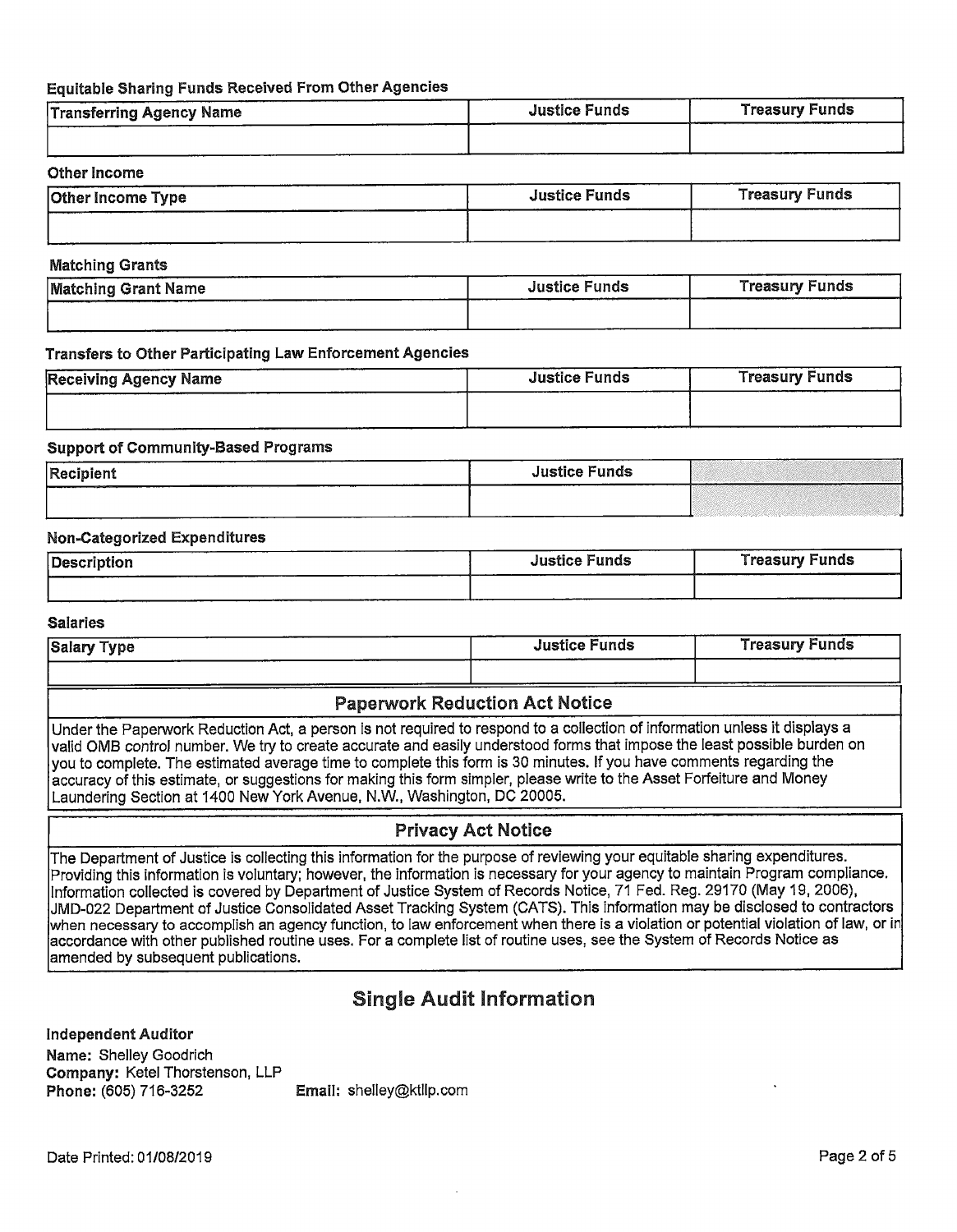### Equitable Sharing Funds Received From Other Agencies

| <b>Transferring Agency Name</b> | <b>Justice Funds</b> | <b>Treasury Funds</b> |
|---------------------------------|----------------------|-----------------------|
|                                 |                      |                       |

### **Other Income**

| <b>Other Income Type</b> | <b>Justice Funds</b> | <b>Treasury Funds</b> |
|--------------------------|----------------------|-----------------------|
|                          |                      |                       |

### **Matching Grants**

| <b>Matching Grant Name</b> | <b>Justice Funds</b> | <b>Treasury Funds</b> |
|----------------------------|----------------------|-----------------------|
|                            |                      |                       |

### Transfers to Other Participating Law Enforcement Agencies

| <b>Receiving Agency Name</b> | <b>Justice Funds</b> | <b>Treasury Funds</b> |
|------------------------------|----------------------|-----------------------|
|                              |                      |                       |

### **Support of Community-Based Programs**

| Recipient | <b>Justice Funds</b> |  |
|-----------|----------------------|--|
|           |                      |  |

### **Non-Categorized Expenditures**

| Description | <b>Justice Funds</b> | <b>Treasury Funds</b> |
|-------------|----------------------|-----------------------|
|             |                      |                       |

### **Salaries**

| Salary Type | -----<br><b>Justice Funds</b> | Treasury Funds |
|-------------|-------------------------------|----------------|
|             |                               |                |

## **Paperwork Reduction Act Notice**

Under the Paperwork Reduction Act, a person is not required to respond to a collection of information unless it displays a valid OMB control number. We try to create accurate and easily understood forms that impose the least possible burden on you to complete. The estimated average time to complete this form is 30 minutes. If you have comments regarding the accuracy of this estimate, or suggestions for making this form simpler, please write to the Asset Forfeiture and Money Laundering Section at 1400 New York Avenue, N.W., Washington, DC 20005.

## **Privacy Act Notice**

The Department of Justice is collecting this information for the purpose of reviewing your equitable sharing expenditures. Providing this information is voluntary; however, the information is necessary for your agency to maintain Program compliance. Information collected is covered by Department of Justice System of Records Notice, 71 Fed. Reg. 29170 (May 19, 2006), JMD-022 Department of Justice Consolidated Asset Tracking System (CATS). This information may be disclosed to contractors when necessary to accomplish an agency function, to law enforcement when there is a violation or potential violation of law, or in accordance with other published routine uses. For a complete list of routine uses, see the System of Records Notice as amended by subsequent publications.

# **Single Audit Information**

**Independent Auditor** 

Name: Shelley Goodrich Company: Ketel Thorstenson, LLP Phone: (605) 716-3252

Email: shelley@ktllp.com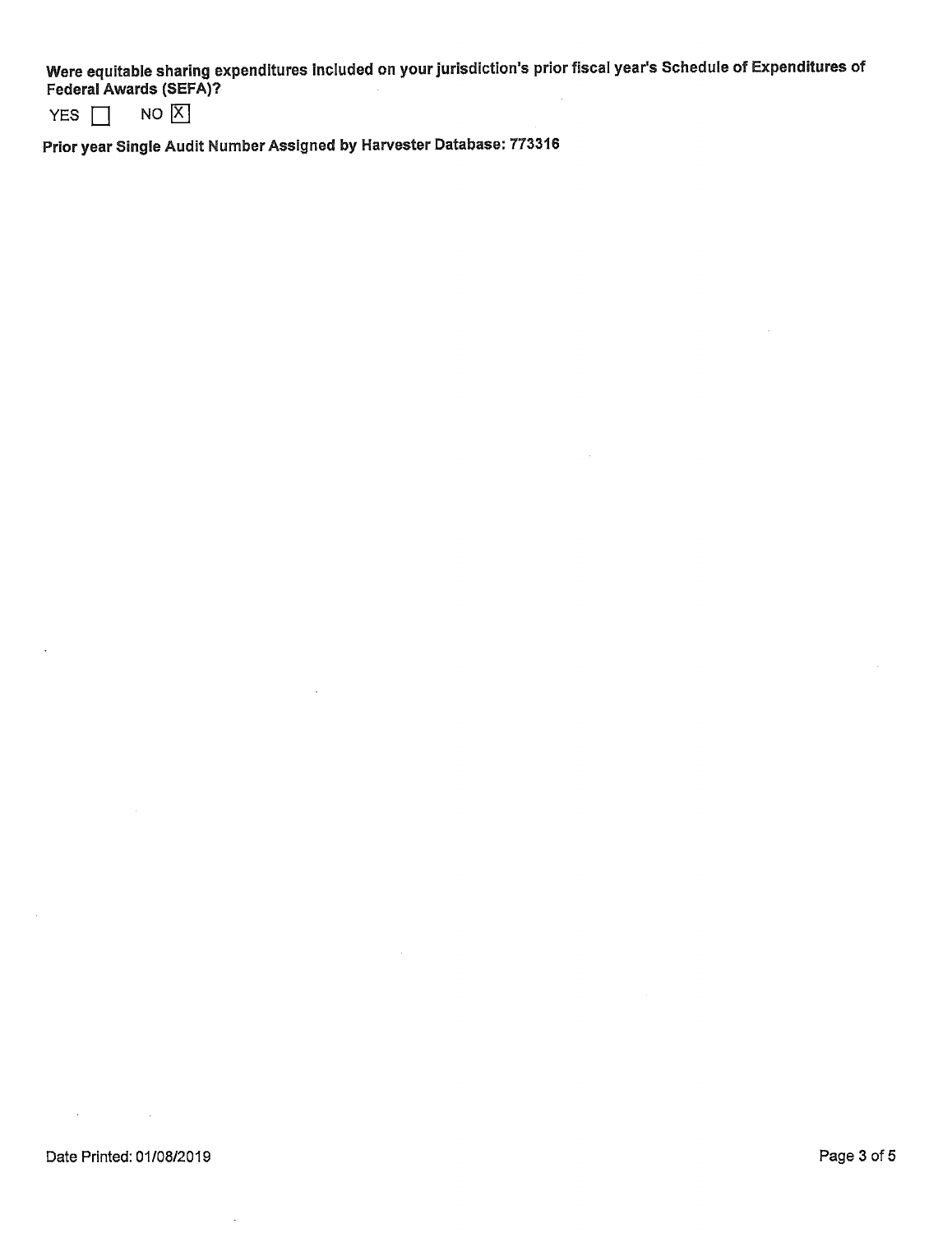Were equitable sharing expenditures included on your jurisdiction's prior fiscal year's Schedule of Expenditures of Federal Awards (SEFA)?

 $NO[X]$ YES  $\Box$ 

Prior year Single Audit Number Assigned by Harvester Database: 773316

÷,

 $\mathcal{A}=\{x_1,\ldots,x_n\}$  ,  $\mathcal{A}$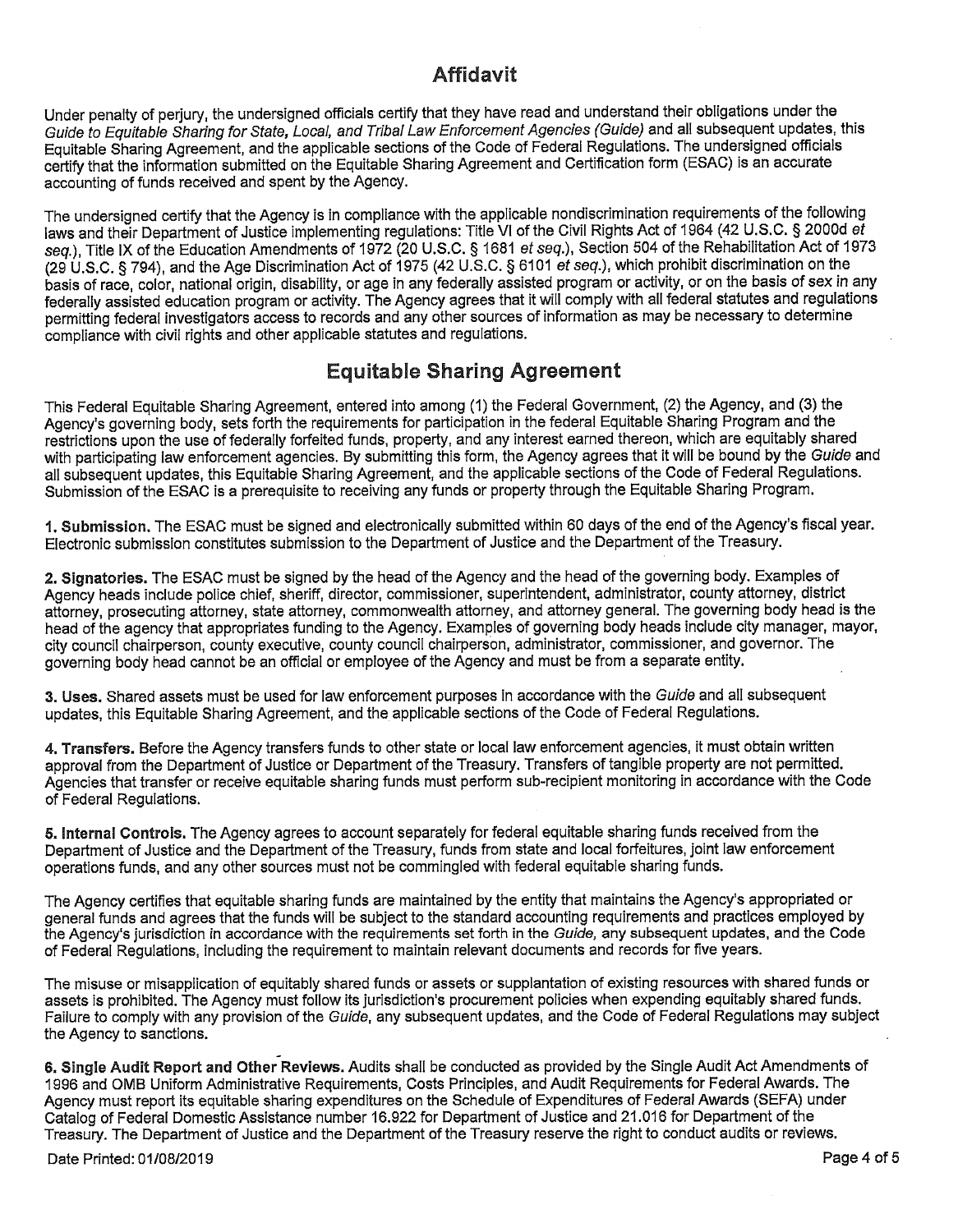# **Affidavit**

Under penalty of perjury, the undersigned officials certify that they have read and understand their obligations under the Guide to Equitable Sharing for State, Local, and Tribal Law Enforcement Agencies (Guide) and all subsequent updates, this Equitable Sharing Agreement, and the applicable sections of the Code of Federal Regulations. The undersigned officials certify that the information submitted on the Equitable Sharing Agreement and Certification form (ESAC) is an accurate accounting of funds received and spent by the Agency.

The undersigned certify that the Agency is in compliance with the applicable nondiscrimination requirements of the following laws and their Department of Justice implementing regulations: Title VI of the Civil Rights Act of 1964 (42 U.S.C. § 2000d et sea.). Title IX of the Education Amendments of 1972 (20 U.S.C. § 1681 et seq.), Section 504 of the Rehabilitation Act of 1973 (29 U.S.C. § 794), and the Age Discrimination Act of 1975 (42 U.S.C. § 6101 et seq.), which prohibit discrimination on the basis of race, color, national origin, disability, or age in any federally assisted program or activity, or on the basis of sex in any federally assisted education program or activity. The Agency agrees that it will comply with all federal statutes and regulations permitting federal investigators access to records and any other sources of information as may be necessary to determine compliance with civil rights and other applicable statutes and regulations.

# **Equitable Sharing Agreement**

This Federal Equitable Sharing Agreement, entered into among (1) the Federal Government, (2) the Agency, and (3) the Agency's governing body, sets forth the requirements for participation in the federal Equitable Sharing Program and the restrictions upon the use of federally forfeited funds, property, and any interest earned thereon, which are equitably shared with participating law enforcement agencies. By submitting this form, the Agency agrees that it will be bound by the Guide and all subsequent updates, this Equitable Sharing Agreement, and the applicable sections of the Code of Federal Regulations. Submission of the ESAC is a prerequisite to receiving any funds or property through the Equitable Sharing Program.

1. Submission. The ESAC must be signed and electronically submitted within 60 days of the end of the Agency's fiscal year. Electronic submission constitutes submission to the Department of Justice and the Department of the Treasury.

2. Signatories. The ESAC must be signed by the head of the Agency and the head of the governing body. Examples of Agency heads include police chief, sheriff, director, commissioner, superintendent, administrator, county attorney, district attorney, prosecuting attorney, state attorney, commonwealth attorney, and attorney general. The governing body head is the head of the agency that appropriates funding to the Agency. Examples of governing body heads include city manager, mayor, city council chairperson, county executive, county council chairperson, administrator, commissioner, and governor. The governing body head cannot be an official or employee of the Agency and must be from a separate entity.

3. Uses. Shared assets must be used for law enforcement purposes in accordance with the Guide and all subsequent updates, this Equitable Sharing Agreement, and the applicable sections of the Code of Federal Regulations.

4. Transfers. Before the Agency transfers funds to other state or local law enforcement agencies, it must obtain written approval from the Department of Justice or Department of the Treasury. Transfers of tangible property are not permitted. Agencies that transfer or receive equitable sharing funds must perform sub-recipient monitoring in accordance with the Code of Federal Regulations.

5. Internal Controls. The Agency agrees to account separately for federal equitable sharing funds received from the Department of Justice and the Department of the Treasury, funds from state and local forfeitures, joint law enforcement operations funds, and any other sources must not be commingled with federal equitable sharing funds.

The Agency certifies that equitable sharing funds are maintained by the entity that maintains the Agency's appropriated or general funds and agrees that the funds will be subject to the standard accounting requirements and practices employed by the Agency's jurisdiction in accordance with the requirements set forth in the Guide, any subsequent updates, and the Code of Federal Regulations, including the requirement to maintain relevant documents and records for five years.

The misuse or misapplication of equitably shared funds or assets or supplantation of existing resources with shared funds or assets is prohibited. The Agency must follow its jurisdiction's procurement policies when expending equitably shared funds. Failure to comply with any provision of the Guide, any subsequent updates, and the Code of Federal Regulations may subject the Agency to sanctions.

6. Single Audit Report and Other Reviews. Audits shall be conducted as provided by the Single Audit Act Amendments of 1996 and OMB Uniform Administrative Requirements, Costs Principles, and Audit Requirements for Federal Awards. The Agency must report its equitable sharing expenditures on the Schedule of Expenditures of Federal Awards (SEFA) under Catalog of Federal Domestic Assistance number 16.922 for Department of Justice and 21.016 for Department of the Treasury. The Department of Justice and the Department of the Treasury reserve the right to conduct audits or reviews.